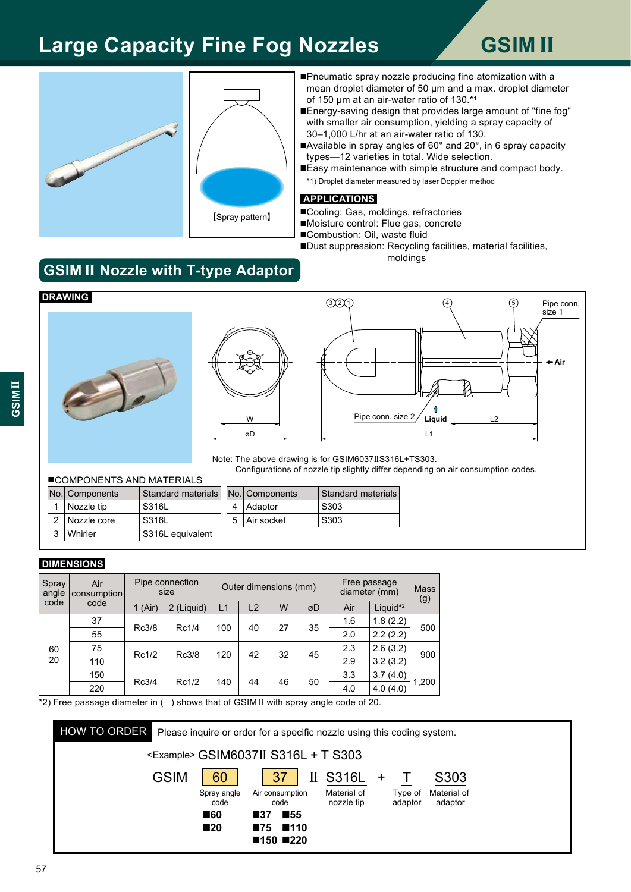# **Large Capacity Fine Fog Nozzles GSIM II**



- ■Pneumatic spray nozzle producing fine atomization with a mean droplet diameter of 50 μm and a max. droplet diameter of 150 μm at an air-water ratio of 130.\*<sup>1</sup>
- ■Energy-saving design that provides large amount of "fine fog" with smaller air consumption, yielding a spray capacity of 30–1,000 L/hr at an air-water ratio of 130.
- ■Available in spray angles of 60° and 20°, in 6 spray capacity types—12 varieties in total. Wide selection.
- ■Easy maintenance with simple structure and compact body. \*1) Droplet diameter measured by laser Doppler method

#### **APPLICATIONS**

■Cooling: Gas, moldings, refractories

- ■Moisture control: Flue gas, concrete
- ■Combustion: Oil, waste fluid
- ■Dust suppression: Recycling facilities, material facilities, moldings

## **GSIM II Nozzle with T-type Adaptor**

#### **DRAWING**







Note: The above drawing is for GSIM6037IIS316L+TS303. Configurations of nozzle tip slightly differ depending on air consumption codes.

#### ■COMPONENTS AND MATERIALS

| Nozzle tip<br>S316L         | ۸da   |
|-----------------------------|-------|
|                             |       |
| 2   Nozzle core<br>S316L    | Air : |
| S316L equivalent<br>Whirler |       |

|   | No. Components | Standard materials |
|---|----------------|--------------------|
|   | Adaptor        | S <sub>303</sub>   |
| 5 | Air socket     | S <sub>303</sub>   |

#### **DIMENSIONS**

| Spray<br>angle | Air<br>consumption |           | Pipe connection<br>size |     |    | Outer dimensions (mm) |    | Free passage<br>diameter (mm) | <b>Mass</b><br>(g)   |       |
|----------------|--------------------|-----------|-------------------------|-----|----|-----------------------|----|-------------------------------|----------------------|-------|
| code           | code               | $1$ (Air) | 2 (Liquid)              | L1  | L2 | W                     | øD | Air                           | Liquid <sup>*2</sup> |       |
| 60<br>20       | 37                 | Rc3/8     | Rc1/4                   | 100 | 40 | 27                    | 35 | 1.6                           | 1.8(2.2)             | 500   |
|                | 55                 |           |                         |     |    |                       |    | 2.0                           | 2.2(2.2)             |       |
|                | 75                 | Rc1/2     | Rc3/8                   | 120 | 42 | 32                    | 45 | 2.3                           | 2.6(3.2)             | 900   |
|                | 110                |           |                         |     |    |                       |    | 2.9                           | 3.2(3.2)             |       |
|                | 150                |           |                         |     |    |                       |    | 3.3                           | 3.7(4.0)             |       |
|                | 220                | Rc3/4     | Rc1/2                   | 140 | 44 | 46                    | 50 | 4.0                           | 4.0(4.0)             | 1,200 |

\*2) Free passage diameter in ( ) shows that of GSIM II with spray angle code of 20.

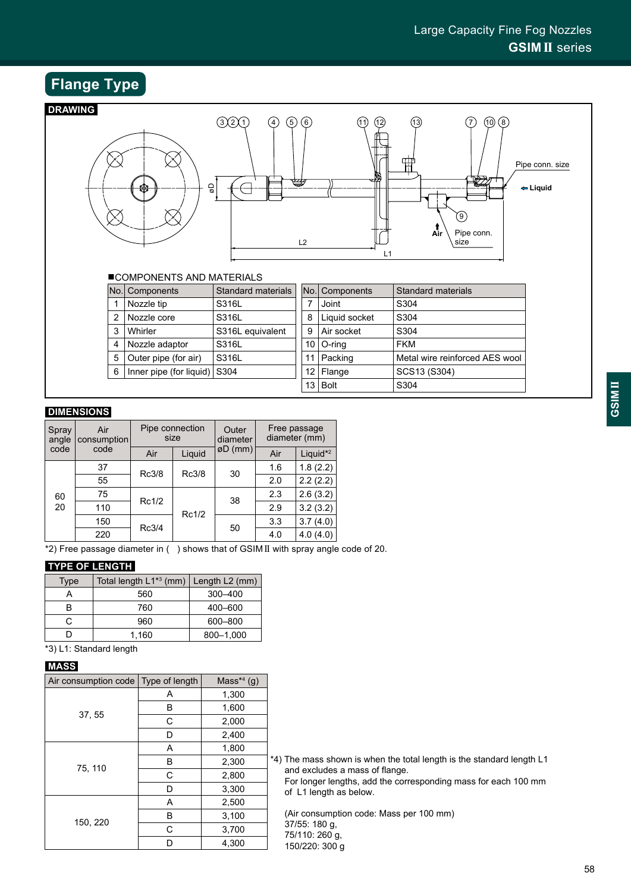# **Flange Type**

### **DRAWING**



#### ■COMPONENTS AND MATERIALS

|   | No. Components               | Standard materials |    | No. Components | Standard materials             |
|---|------------------------------|--------------------|----|----------------|--------------------------------|
|   | Nozzle tip                   | S316L              |    | Joint          | S304                           |
| 2 | Nozzle core                  | S316L              | 8  | Liquid socket  | S304                           |
| 3 | Whirler                      | S316L equivalent   | 9  | Air socket     | S304                           |
| 4 | Nozzle adaptor               | S316L              |    | $10$   O-ring  | <b>FKM</b>                     |
| 5 | Outer pipe (for air)         | S316L              | 11 | Packing        | Metal wire reinforced AES wool |
| 6 | Inner pipe (for liquid) S304 |                    |    | $12$   Flange  | SCS13 (S304)                   |
|   |                              |                    |    | $13$ Bolt      | S304                           |

#### **DIMENSIONS**

| Spray<br>angle | Air<br>consumption | Pipe connection<br>size |        | Outer<br>diameter | Free passage<br>diameter (mm) |                      |  |
|----------------|--------------------|-------------------------|--------|-------------------|-------------------------------|----------------------|--|
| code           | code               | Air                     | Liquid | $ØD$ (mm)         | Air                           | Liquid <sup>*2</sup> |  |
|                | 37                 | Rc3/8                   | Rc3/8  | 30                | 1.6                           | 1.8(2.2)             |  |
|                | 55                 |                         |        |                   | 2.0                           | 2.2(2.2)             |  |
| 60             | 75                 | Rc1/2                   |        | 38                | 2.3                           | 2.6(3.2)             |  |
| 20             | 110                |                         |        |                   | 2.9                           | 3.2(3.2)             |  |
|                | 150                |                         | Rc1/2  |                   | 3.3                           | 3.7(4.0)             |  |
|                | 220                | Rc3/4                   |        | 50                | 4.0                           | 4.0(4.0)             |  |

\*2) Free passage diameter in ( ) shows that of GSIM II with spray angle code of 20.

#### **TYPE OF LENGTH**

| <b>Type</b> | Total length $L1^{*3}$ (mm) $\vert$ Length L2 (mm) |           |
|-------------|----------------------------------------------------|-----------|
|             | 560                                                | 300-400   |
| R           | 760                                                | 400-600   |
| C.          | 960                                                | 600-800   |
|             | 1,160                                              | 800-1,000 |

\*3) L1: Standard length

#### **MASS**

| Air consumption code   Type of length |   | Mass <sup>*4</sup> $(g)$ |                                                                                                  |
|---------------------------------------|---|--------------------------|--------------------------------------------------------------------------------------------------|
|                                       | A | 1,300                    |                                                                                                  |
|                                       | B | 1,600                    |                                                                                                  |
| 37, 55                                | C | 2,000                    |                                                                                                  |
|                                       | D | 2,400                    |                                                                                                  |
|                                       | A | 1,800                    |                                                                                                  |
|                                       | B | 2,300                    | *4) The mass shown is when the total length is the standard length L1                            |
| 75, 110                               | С | 2,800                    | and excludes a mass of flange.<br>For longer lengths, add the corresponding mass for each 100 mm |
|                                       | D | 3,300                    | of L1 length as below.                                                                           |
|                                       | A | 2,500                    |                                                                                                  |
|                                       | B | 3,100                    | (Air consumption code: Mass per 100 mm)                                                          |
| 150, 220                              | C | 3,700                    | 37/55:180 g,<br>75/110: 260 g,                                                                   |
|                                       | D | 4,300                    | 150/220: 300 g                                                                                   |

**GSIMII**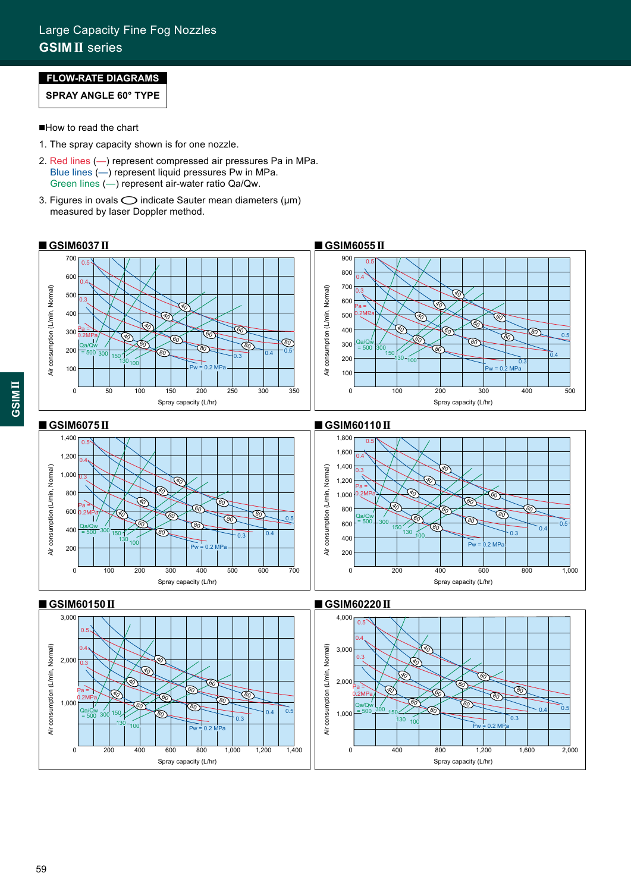**FLOW-RATE DIAGRAMS**

**SPRAY ANGLE 60° TYPE**

- ■How to read the chart
- 1. The spray capacity shown is for one nozzle.
- 2. Red lines (—) represent compressed air pressures Pa in MPa. Red lines (e.g.) represent sompressed all pressures Pv<br>Blue lines (--) represent liquid pressures Pw in MPa. Green lines (-) represent air-water ratio Qa/Qw.
- 3. Figures in ovals **○** indicate Sauter mean diameters (μm) measured by laser Doppler method.

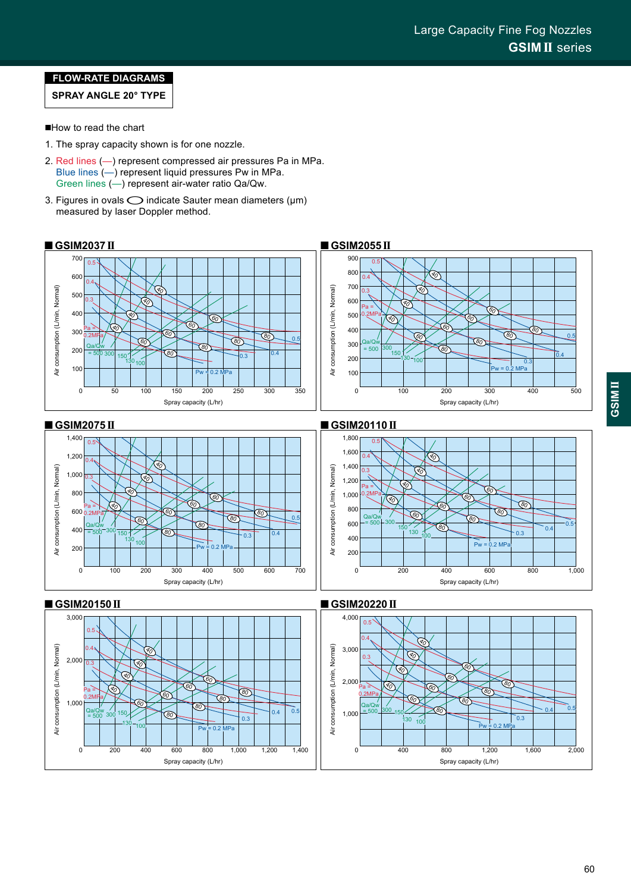**FLOW-RATE DIAGRAMS**

**SPRAY ANGLE 20° TYPE**

■How to read the chart

- 1. The spray capacity shown is for one nozzle.
- 2. Red lines (—) represent compressed air pressures Pa in MPa. Red lines (e.g.) represent sempressed all pressures in Blue lines (e.g.) represent liquid pressures Pw in MPa.
- Green lines (–) represent air-water ratio Qa/Qw.<br>3. Figures in ovals  $\bigcirc$  indicate Sauter mean diameters (μm)<br>measured by laser Doppler method. measured by laser Doppler method.